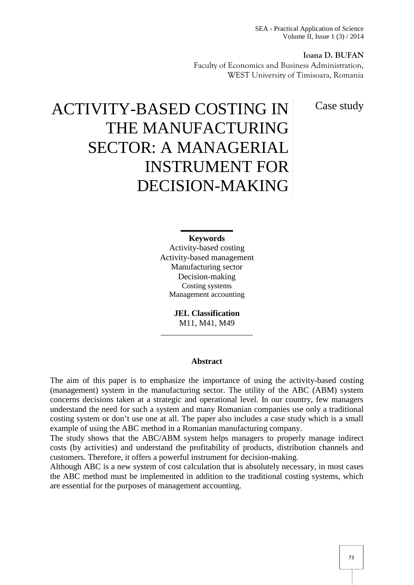SEA - Practical Application of Science Volume II, Issue 1 (3) / 2014

**Ioana D. BUFAN** Faculty of Economics and Business Administration, WEST University of Timisoara, Romania

Case study

# ACTIVITY-BASED COSTING IN THE MANUFACTURING SECTOR: A MANAGERIAL INSTRUMENT FOR DECISION-MAKING

#### **Keywords**

Activity-based costing Activity-based management Manufacturing sector Decision-making Costing systems Management accounting

> **JEL Classification** M11, M41, M49

#### **Abstract**

The aim of this paper is to emphasize the importance of using the activity-based costing (management) system in the manufacturing sector. The utility of the ABC (ABM) system concerns decisions taken at a strategic and operational level. In our country, few managers understand the need for such a system and many Romanian companies use only a traditional costing system or don't use one at all. The paper also includes a case study which is a small example of using the ABC method in a Romanian manufacturing company.

The study shows that the ABC/ABM system helps managers to properly manage indirect costs (by activities) and understand the profitability of products, distribution channels and customers. Therefore, it offers a powerful instrument for decision-making.

Although ABC is a new system of cost calculation that is absolutely necessary, in most cases the ABC method must be implemented in addition to the traditional costing systems, which are essential for the purposes of management accounting.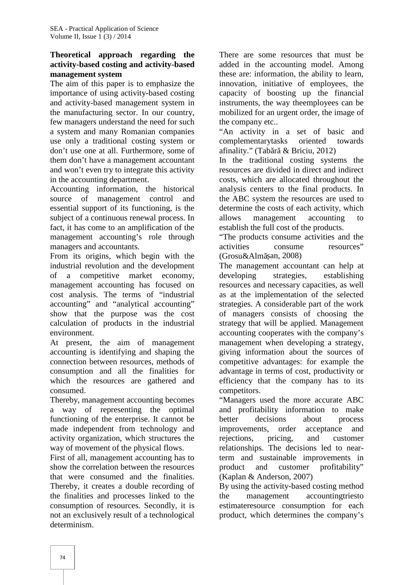#### **Theoretical approach regarding the activity-based costing and activity-based management system**

The aim of this paper is to emphasize the importance of using activity-based costing and activity-based management system in the manufacturing sector. In our country, few managers understand the need for such a system and many Romanian companies use only a traditional costing system or don't use one at all. Furthermore, some of them don't have a management accountant and won't even try to integrate this activity in the accounting department.

Accounting information, the historical source of management control and essential support of its functioning, is the subject of a continuous renewal process. In allows fact, it has come to an amplification of the management accounting's role through managers and accountants.

From its origins, which begin with the industrial revolution and the development of a competitive market economy, management accounting has focused on cost analysis. The terms of "industrial accounting" and "analytical accounting" show that the purpose was the cost calculation of products in the industrial environment.

At present, the aim of management accounting is identifying and shaping the connection between resources, methods of consumption and all the finalities for which the resources are gathered and consumed.

Thereby, management accounting becomes a way of representing the optimal functioning of the enterprise. It cannot be made independent from technology and activity organization, which structures the way of movement of the physical flows.

First of all, management accounting has to show the correlation between the resources that were consumed and the finalities. Thereby, it creates a double recording of the finalities and processes linked to the consumption of resources. Secondly, it is not an exclusively result of a technological determinism.

There are some resources that must be added in the accounting model. Among these are: information, the ability to learn, innovation, initiative of employees, the capacity of boosting up the financial instruments, the way theemployees can be mobilized for an urgent order, the image of the company etc..

"An activity in a set of basic and complementarytasks oriented towards afinality." (Tab  $r \&$  Briciu, 2012)

In the traditional costing systems the resources are divided in direct and indirect costs, which are allocated throughout the analysis centers to the final products. In the ABC system the resources are used to determine the costs of each activity, which management accounting to establish the full cost of the products.

"The products consume activities and the activities consume resources"  $(Grosu&Alm$  an, 2008)

The management accountant can help at developing strategies, establishing resources and necessary capacities, as well as at the implementation of the selected strategies. A considerable part of the work of managers consists of choosing the strategy that will be applied. Management accounting cooperates with the company's management when developing a strategy, giving information about the sources of competitive advantages: for example the advantage in terms of cost, productivity or efficiency that the company has to its competitors.

"Managers used the more accurate ABC and profitability information to make decisions about process improvements, order acceptance and rejections, pricing, and customer relationships. The decisions led to nearterm and sustainable improvements in product and customer profitability" (Kaplan & Anderson, 2007)

By using the activity-based costing method management accountingtriesto estimateresource consumption for each product, which determines the company's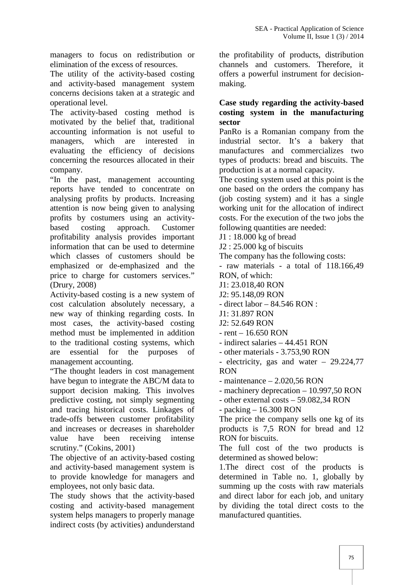managers to focus on redistribution or elimination of the excess of resources.

The utility of the activity-based costing and activity-based management system concerns decisions taken at a strategic and operational level.

The activity-based costing method is motivated by the belief that, traditional accounting information is not useful to managers, which are interested in evaluating the efficiency of decisions concerning the resources allocated in their company.

"In the past, management accounting reports have tended to concentrate on analysing profits by products. Increasing attention is now being given to analysing profits by costumers using an activity based costing approach. Customer profitability analysis provides important information that can be used to determine which classes of customers should be emphasized or de-emphasized and the price to charge for customers services." (Drury, 2008)

Activity-based costing is a new system of cost calculation absolutely necessary, a new way of thinking regarding costs. In most cases, the activity-based costing method must be implemented in addition to the traditional costing systems, which are essential for the purposes of management accounting.

"The thought leaders in cost management have begun to integrate the ABC/M data to support decision making. This involves predictive costing, not simply segmenting and tracing historical costs. Linkages of trade-offs between customer profitability and increases or decreases in shareholder value have been receiving intense scrutiny." (Cokins, 2001)

The objective of an activity-based costing and activity-based management system is to provide knowledge for managers and employees, not only basic data.

The study shows that the activity-based costing and activity-based management system helps managers to properly manage indirect costs (by activities) andunderstand

the profitability of products, distribution channels and customers. Therefore, it offers a powerful instrument for decision making.

#### **Case study regarding the activity-based costing system in the manufacturing sector**

PanRo is a Romanian company from the industrial sector. It's a bakery that manufactures and commercializes two types of products: bread and biscuits. The production is at a normal capacity.

The costing system used at this point is the one based on the orders the company has (job costing system) and it has a single working unit for the allocation of indirect costs. For the execution of the two jobs the following quantities are needed:

J1 : 18.000 kg of bread

J2 : 25.000 kg of biscuits

The company has the following costs: - raw materials - a total of 118.166,49 RON, of which:

J1: 23.018,40 RON

J2: 95.148,09 RON

- direct labor – 84.546 RON :

J1: 31.897 RON

J2: 52.649 RON

 $-$  rent  $-16.650$  RON

- indirect salaries – 44.451 RON

- other materials - 3.753,90 RON

- electricity, gas and water – 29.224,77 RON

- maintenance – 2.020,56 RON

- machinery deprecation – 10.997,50 RON

- other external costs – 59.082,34 RON

- packing – 16.300 RON

The price the company sells one kg of its products is 7,5 RON for bread and 12 RON for biscuits.

The full cost of the two products is determined as showed below:

1.The direct cost of the products is determined in Table no. 1, globally by summing up the costs with raw materials and direct labor for each job, and unitary by dividing the total direct costs to the manufactured quantities.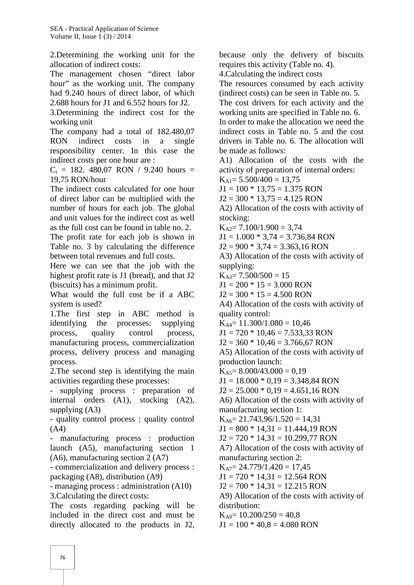2.Determining the working unit for the allocation of indirect costs:

The management chosen "direct labor hour" as the working unit. The company had 9.240 hours of direct labor, of which 2.688 hours for J1 and 6.552 hours for J2.

3.Determining the indirect cost for the working unit

The company had a total of 182.480,07 RON indirect costs in a single responsibility center. In this case the indirect costs per one hour are :

 $C_i$  = 182. 480,07 RON / 9.240 hours = 19,75 RON/hour

The indirect costs calculated for one hour of direct labor can be multiplied with the number of hours for each job. The global and unit values for the indirect cost as well as the full cost can be found in table no. 2.

The profit rate for each job is shown in Table no. 3 by calculating the difference between total revenues and full costs.

Here we can see that the job with the highest profit rate is J1 (bread), and that J2 (biscuits) has a minimum profit.

What would the full cost be if a ABC system is used?

1.The first step in ABC method is identifying the processes: supplying process, quality control process, manufacturing process, commercialization process, delivery process and managing process.

2.The second step is identifying the main activities regarding these processes:

- supplying process : preparation of internal orders (A1), stocking (A2), supplying (A3)

- quality control process : quality control (A4)

- manufacturing process : production launch (A5), manufacturing section 1 (A6), manufacturing section 2 (A7)

- commercialization and delivery process : packaging (A8), distribution (A9)

- managing process : administration (A10) 3.Calculating the direct costs:

The costs regarding packing will be included in the direct cost and must be directly allocated to the products in J2,

because only the delivery of biscuits requires this activity (Table no. 4). 4.Calculating the indirect costs The resources consumed by each activity (indirect costs) can be seen in Table no. 5. The cost drivers for each activity and the working units are specified in Table no. 6. In order to make the allocation we need the indirect costs in Table no. 5 and the cost drivers in Table no. 6. The allocation will be made as follows: A1) Allocation of the costs with the activity of preparation of internal orders:  $K_{A1} = 5.500/400 = 13,75$  $J1 = 100 * 13,75 = 1.375$  RON  $J2 = 300 * 13,75 = 4.125$  RON A2) Allocation of the costs with activity of stocking:  $K_{A2} = 7.100/1.900 = 3.74$  $J1 = 1.000 * 3,74 = 3.736,84$  RON  $J2 = 900 * 3,74 = 3.363,16 RON$ A3) Allocation of the costs with activity of supplying:  $K_{A3} = 7.500/500 = 15$  $J1 = 200 * 15 = 3.000$  RON  $J2 = 300 * 15 = 4.500$  RON A4) Allocation of the costs with activity of quality control:  $K_{A4}= 11.300/1.080 = 10.46$  $J1 = 720 * 10,46 = 7.533,33$  RON  $J2 = 360 * 10,46 = 3.766,67$  RON A5) Allocation of the costs with activity of production launch:  $K_{A5} = 8.000/43.000 = 0.19$  $J1 = 18.000 * 0,19 = 3.348,84$  RON  $J2 = 25.000 * 0,19 = 4.651,16 RON$ A6) Allocation of the costs with activity of manufacturing section 1:  $K_{A6} = 21.743,96/1.520 = 14,31$  $J1 = 800 * 14,31 = 11.444,19 RON$  $J2 = 720 * 14,31 = 10.299,77$  RON A7) Allocation of the costs with activity of manufacturing section 2:  $K<sub>A7</sub>= 24.779/1.420 = 17,45$  $J1 = 720 * 14.31 = 12.564$  RON  $J2 = 700 * 14,31 = 12.215$  RON A9) Allocation of the costs with activity of distribution:  $K_{A9} = 10.200/250 = 40,8$ 

 $J1 = 100 * 40,8 = 4.080$  RON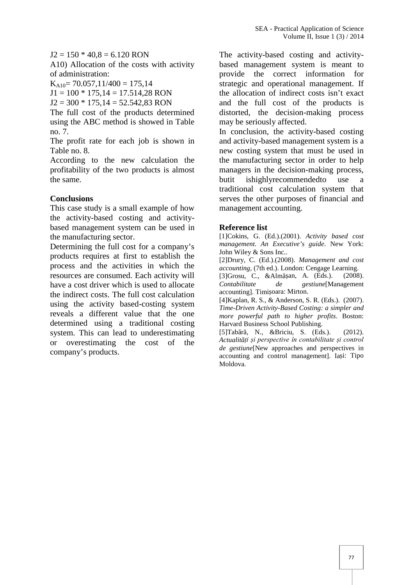$J2 = 150 * 40.8 = 6.120$  RON

A10) Allocation of the costs with activity of administration:

 $K_{A10}$  = 70.057,11/400 = 175,14

 $J1 = 100 * 175,14 = 17.514,28 RON$ 

 $J2 = 300 * 175,14 = 52.542,83 RON$ 

The full cost of the products determined using the ABC method is showed in Table no. 7.

The profit rate for each job is shown in Table no. 8.

According to the new calculation the profitability of the two products is almost the same.

#### **Conclusions**

This case study is a small example of how the activity-based costing and activity based management system can be used in the manufacturing sector.

Determining the full cost for a company's products requires at first to establish the process and the activities in which the resources are consumed. Each activity will have a cost driver which is used to allocate Contabilitate the indirect costs. The full cost calculation using the activity based-costing system reveals a different value that the one determined using a traditional costing system. This can lead to underestimating or overestimating the cost of the company's products.

The activity-based costing and activity based management system is meant to provide the correct information for strategic and operational management. If the allocation of indirect costs isn't exact and the full cost of the products is distorted, the decision-making process may be seriously affected.

In conclusion, the activity-based costing and activity-based management system is a new costing system that must be used in the manufacturing sector in order to help managers in the decision-making process, butit ishighlyrecommendedto use a traditional cost calculation system that serves the other purposes of financial and management accounting.

#### **Reference list**

[1]Cokins, G. (Ed.).(2001). *Activity based cost management. An Executive's guide*. New York: John Wiley & Sons Inc..

[2]Drury, C. (Ed.).(2008). *Management and cost accounting,* (7th ed.). London: Cengage Learning.

[3]Grosu, C., &Alm an, A. (Eds.). (2008). *Contabilitate de gestiune*[Management accounting]. Timi oara: Mirton.

[4]Kaplan, R. S., & Anderson, S. R. (Eds.). (2007). *Time-Driven Activity-Based Costing: a simpler and more powerful path to higher profits*. Boston: Harvard Business School Publishing.

[5]Tab r , N., &Briciu, S. (Eds.). (2012). *Actualități și perspective în contabilitate și control de gestiune*[New approaches and perspectives in accounting and control management]. Ia  $i$ : Tipo Moldova.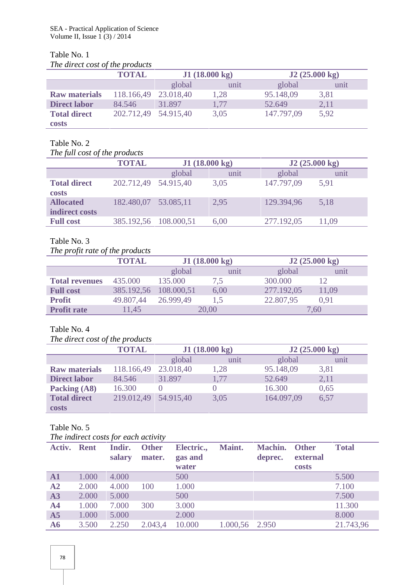## Table No. 1

|  |  | The direct cost of the products |  |
|--|--|---------------------------------|--|
|--|--|---------------------------------|--|

|                      | <b>TOTAL</b>         | J1(18.000 kg) |      | J2(25.000 kg) |      |
|----------------------|----------------------|---------------|------|---------------|------|
|                      |                      | global        | unit | global        | unit |
| <b>Raw materials</b> | 118.166,49 23.018,40 |               | 1,28 | 95.148,09     | 3,81 |
| <b>Direct labor</b>  | 84.546               | 31.897        | 1,77 | 52.649        | 2,11 |
| <b>Total direct</b>  | 202.712,49 54.915,40 |               | 3,05 | 147.797,09    | 5,92 |
| <b>costs</b>         |                      |               |      |               |      |

# Table No. 2

#### *The full cost of the products*

|                                     | <b>TOTAL</b>          | J1(18.000 kg) |      | J2(25.000 kg) |       |
|-------------------------------------|-----------------------|---------------|------|---------------|-------|
|                                     |                       | global        | unit | global        | unit  |
| <b>Total direct</b><br><b>costs</b> | 202.712,49 54.915,40  |               | 3,05 | 147.797,09    | 5,91  |
| <b>Allocated</b><br>indirect costs  | 182.480,07            | 53.085,11     | 2.95 | 129.394,96    | 5,18  |
| <b>Full cost</b>                    | 385.192,56 108.000,51 |               | 6,00 | 277.192,05    | 11,09 |

## Table No. 3

## *The profit rate of the products*

|                       | <b>TOTAL</b> | J1(18.000 kg) |      |            | J2(25.000 kg) |
|-----------------------|--------------|---------------|------|------------|---------------|
|                       |              | global        | unit | global     | unit          |
| <b>Total revenues</b> | 435.000      | 135.000       | 7,5  | 300.000    | 12            |
| <b>Full cost</b>      | 385.192,56   | 108.000,51    | 6,00 | 277.192,05 | 11,09         |
| <b>Profit</b>         | 49.807,44    | 26.999,49     |      | 22.807,95  | 0.91          |
| <b>Profit rate</b>    | 11,45        | 20,00         |      |            | 7,60          |

## Table No. 4

#### *The direct cost of the products*

|                      | <b>TOTAL</b> | J1(18.000 kg) |      | J2(25.000 kg) |      |
|----------------------|--------------|---------------|------|---------------|------|
|                      |              | global        | unit | global        | unit |
| <b>Raw materials</b> | 118.166,49   | 23.018,40     | 1,28 | 95.148,09     | 3,81 |
| <b>Direct labor</b>  | 84.546       | 31.897        | 1,77 | 52.649        | 2,11 |
| Packing (A8)         | 16.300       |               |      | 16.300        | 0,65 |
| <b>Total direct</b>  | 219.012,49   | 54.915,40     | 3,05 | 164.097,09    | 6,57 |
| costs                |              |               |      |               |      |

## Table No. 5

| Activ. Rent    |       | salary | Indir. Other<br>mater. | Electric., Maint.<br>gas and<br>water |                | <b>Machin.</b> Other<br>deprec. | external<br>costs | <b>Total</b> |
|----------------|-------|--------|------------------------|---------------------------------------|----------------|---------------------------------|-------------------|--------------|
| ${\bf A1}$     | 1.000 | 4.000  |                        | 500                                   |                |                                 |                   | 5.500        |
| A2             | 2.000 | 4.000  | 100                    | 1.000                                 |                |                                 |                   | 7.100        |
| A3             | 2.000 | 5.000  |                        | 500                                   |                |                                 |                   | 7.500        |
| A <sub>4</sub> | 1.000 | 7.000  | 300                    | 3.000                                 |                |                                 |                   | 11.300       |
| A <sub>5</sub> | 1.000 | 5.000  |                        | 2.000                                 |                |                                 |                   | 8.000        |
| A6             | 3.500 | 2.250  | 2.043,4                | 10.000                                | 1.000,56 2.950 |                                 |                   | 21.743,96    |